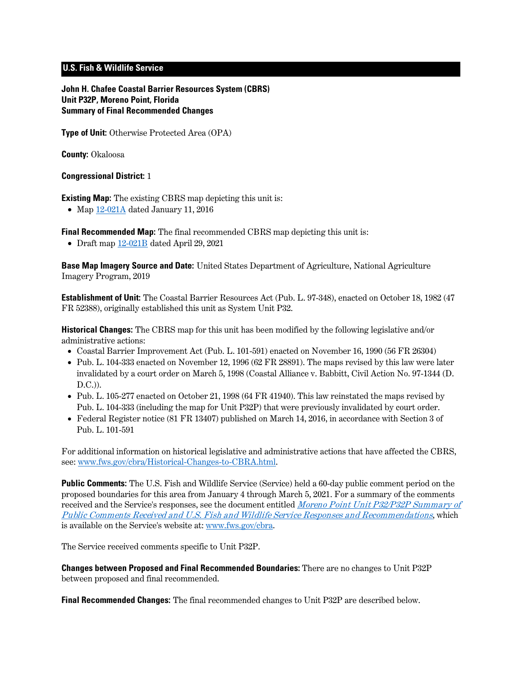# **U.S. Fish & Wildlife Service**

**John H. Chafee Coastal Barrier Resources System (CBRS) Unit P32P, Moreno Point, Florida Summary of Final Recommended Changes**

**Type of Unit:** Otherwise Protected Area (OPA)

**County:** Okaloosa

#### **Congressional District:** 1

**Existing Map:** The existing CBRS map depicting this unit is:

• Map [12-021A](http://www.fws.gov/cbra/maps/effective/12-021A.pdf) dated January 11, 2016

**Final Recommended Map:** The final recommended CBRS map depicting this unit is:

• Draft map [12-021B](https://www.fws.gov/cbra/projects/technical-corrections/Final-Recommended-12-021B.pdf) dated April 29, 2021

**Base Map Imagery Source and Date:** United States Department of Agriculture, National Agriculture Imagery Program, 2019

**Establishment of Unit:** The Coastal Barrier Resources Act (Pub. L. 97-348), enacted on October 18, 1982 (47 FR 52388), originally established this unit as System Unit P32.

**Historical Changes:** The CBRS map for this unit has been modified by the following legislative and/or administrative actions:

- Coastal Barrier Improvement Act (Pub. L. 101-591) enacted on November 16, 1990 (56 FR 26304)
- Pub. L. 104-333 enacted on November 12, 1996 (62 FR 28891). The maps revised by this law were later invalidated by a court order on March 5, 1998 (Coastal Alliance v. Babbitt, Civil Action No. 97-1344 (D. D.C.)).
- Pub. L. 105-277 enacted on October 21, 1998 (64 FR 41940). This law reinstated the maps revised by Pub. L. 104-333 (including the map for Unit P32P) that were previously invalidated by court order.
- Federal Register notice (81 FR 13407) published on March 14, 2016, in accordance with Section 3 of Pub. L. 101-591

For additional information on historical legislative and administrative actions that have affected the CBRS, see: [www.fws.gov/cbra/Historical-Changes-to-CBRA.html.](http://www.fws.gov/cbra/Historical-Changes-to-CBRA.html)

**Public Comments:** The U.S. Fish and Wildlife Service (Service) held a 60-day public comment period on the proposed boundaries for this area from January 4 through March 5, 2021. For a summary of the comments received and the Service's responses, see the document entitled *Moreno Point Unit P32/P32P Summary of* [Public Comments Received and U.S. Fish and Wildlife Service Responses and Recommendations](https://www.fws.gov/cbra/projects/technical-corrections/P32-P32P-Public-Comments-and-Responses.pdf), which is available on the Service's website at: [www.fws.gov/cbra.](http://www.fws.gov/cbra)

The Service received comments specific to Unit P32P.

**Changes between Proposed and Final Recommended Boundaries:** There are no changes to Unit P32P between proposed and final recommended.

**Final Recommended Changes:** The final recommended changes to Unit P32P are described below.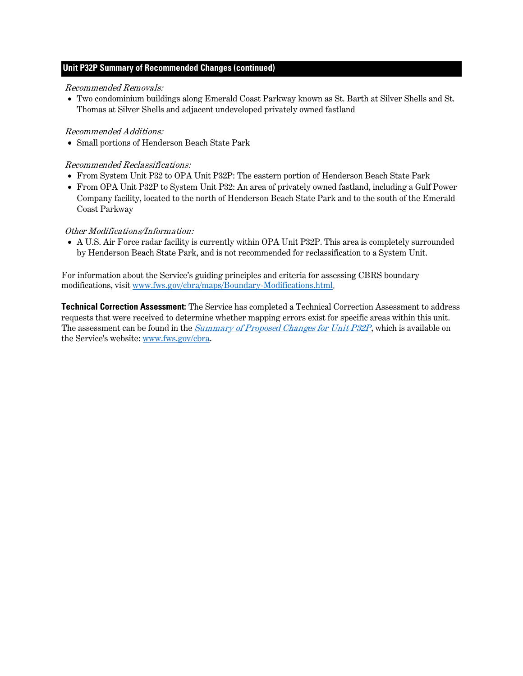# **Unit P32P Summary of Recommended Changes (continued)**

#### Recommended Removals:

• Two condominium buildings along Emerald Coast Parkway known as St. Barth at Silver Shells and St. Thomas at Silver Shells and adjacent undeveloped privately owned fastland

## Recommended Additions:

• Small portions of Henderson Beach State Park

# Recommended Reclassifications:

- From System Unit P32 to OPA Unit P32P: The eastern portion of Henderson Beach State Park
- From OPA Unit P32P to System Unit P32: An area of privately owned fastland, including a Gulf Power Company facility, located to the north of Henderson Beach State Park and to the south of the Emerald Coast Parkway

## Other Modifications/Information:

• A U.S. Air Force radar facility is currently within OPA Unit P32P. This area is completely surrounded by Henderson Beach State Park, and is not recommended for reclassification to a System Unit.

For information about the Service's guiding principles and criteria for assessing CBRS boundary modifications, visit [www.fws.gov/cbra/maps/Boundary-Modifications.html.](https://www.fws.gov/cbra/maps/Boundary-Modifications.html)

**Technical Correction Assessment:** The Service has completed a Technical Correction Assessment to address requests that were received to determine whether mapping errors exist for specific areas within this unit. The assessment can be found in the *Summary of [Proposed Changes for Unit P32P](https://www.fws.gov/cbra/projects/technical-corrections/P32P-Proposed-Unit-Summary.pdf)*, which is available on the Service's website: [www.fws.gov/cbra.](http://www.fws.gov/cbra)